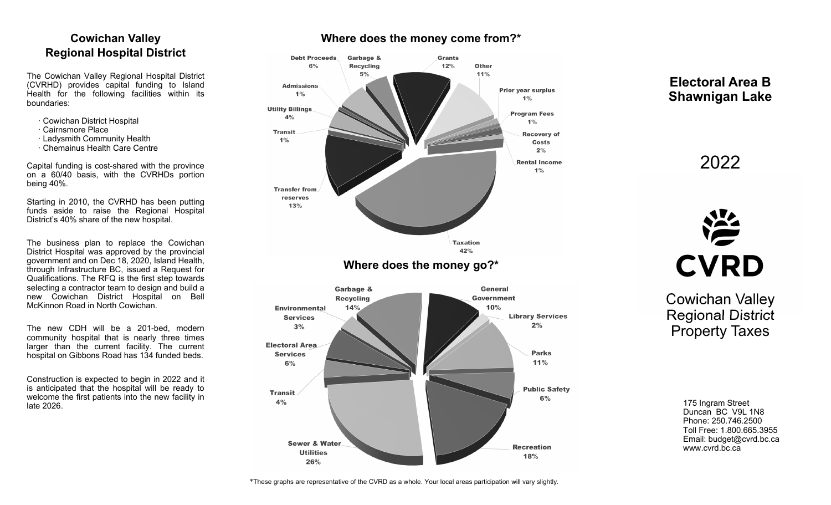# **Cowichan Valley Regional Hospital District**

The Cowichan Valley Regional Hospital District (CVRHD) provides capital funding to Island Health for the following facilities within its boundaries:

- · Cowichan District Hospital
- · Cairnsmore Place
- · Ladysmith Community Health
- · Chemainus Health Care Centre

Capital funding is cost-shared with the province on a 60/40 basis, with the CVRHDs portion being 40%.

Starting in 2010, the CVRHD has been putting funds aside to raise the Regional Hospital District's 40% share of the new hospital.

The business plan to replace the Cowichan District Hospital was approved by the provincial government and on Dec 18, 2020, Island Health, through Infrastructure BC, issued a Request for Qualifications. The RFQ is the first step towards selecting a contractor team to design and build a new Cowichan District Hospital on Bell McKinnon Road in North Cowichan.

The new CDH will be a 201-bed, modern community hospital that is nearly three times larger than the current facility. The current hospital on Gibbons Road has 134 funded beds.

Construction is expected to begin in 2022 and it is anticipated that the hospital will be ready to welcome the first patients into the new facility in late 2026.

# **Where does the money come from?\***



**Electoral Area B Shawnigan Lake** 

2022



Cowichan Valley Regional District Property Taxes

> 175 Ingram Street Duncan BC V9L 1N8 Phone: 250.746.2500 Toll Free: 1.800.665.3955 Email: budget@cvrd.bc.ca www.cvrd.bc.ca